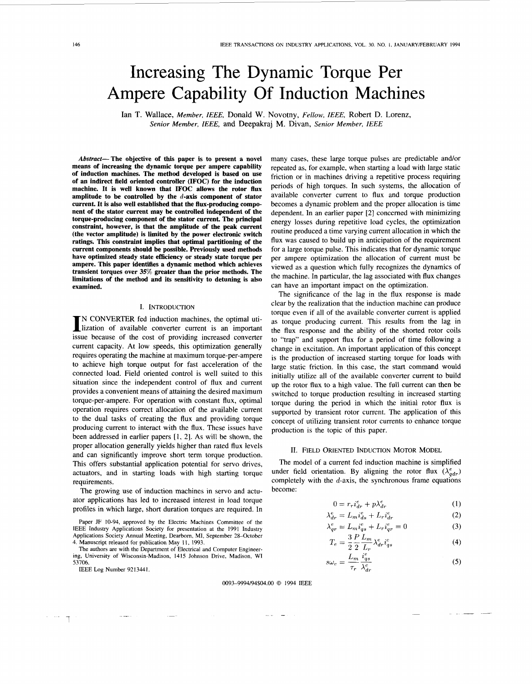# Increasing The Dynamic Torque Per Ampere Capability Of Induction Machines

Ian **T.** Wallace, *Member, IEEE,* Donald W. Novotny, *Fellow, IEEE,* Robert D. Lorenz, *Senior Member, IEEE,* and Deepakraj **M.** Divan, *Senior Member, IEEE* 

Abstract-The objective of this paper is to present a novel **means of increasing the dynamic torque per ampere capability of induction machines. The method developed is based on use of an indirect field oriented controller (IFOC) for the induction machine. It is well known that IFOC allows the rotor flux amplitude to be controlled by the d-axis component of stator current. It is also well established that the flux-producing component of the stator current may be controlled independent of the torque-producing component of the stator current. The principal constraint, however, is that the amplitude of the peak current (the vector amplitude) is limited by the power electronic switch ratings. This constraint implies that optimal partitioning of the current components should be possible. Previously used methods have optimized steady state efficiency or steady state torque per ampere. This paper identifies a dynamic method which achieves transient torques over 35% greater than the prior methods. The limitations of the method and its sensitivity to detuning is also examined.** 

## I. INTRODUCTION

IN CONVERTER fed induction machines, the optimal uti-<br>Iization of available converter current is an important issue because of the cost of providing increased converter current capacity. At low speeds, this optimization generally requires operating the machine at maximum torque-per-ampere to achieve high torque output for fast acceleration of the connected load. Field oriented control is well suited to this situation since the independent control of flux and current provides a convenient means of attaining the desired maximum torque-per-ampere. For operation with constant flux, optimal operation requires correct allocation of the available current to the dual tasks of creating the flux and providing torque producing current to interact with the flux. These issues have been addressed in earlier papers [l, 21. As will be shown, the proper allocation generally yields higher than rated flux levels and can significantly improve short term torque production. This offers substantial application potential for servo drives, actuators, and in starting loads with high starting torque requirements.

The growing use of induction machines in servo and actuator applications has led to increased interest in load torque profiles in which large, short duration torques are required. In

Paper JF 10-94, approved by the Electric Machines Committee of the IEEE Industry Applications Society for presentation at the 1991 Industry Applications Society Annual Meeting, Dearbom, MI, September 28-October 4. Manuscript released for publication May 1 I, 1993.

The authors are with the Department of Electrical and Computer Engineering, University of Wisconsin-Madison, 14 15 Johnson Drive, Madison, WI 53706.

IEEE Log Number 9213441.

 $\mathbb{R}^2$ 

many cases, these large torque pulses are predictable and/or repeated as, for example, when starting a load with large static friction or in machines driving a repetitive process requiring periods of high torques. In such systems, the allocation of available converter current to flux and torque production becomes a dynamic problem and the proper allocation is time dependent. In an earlier paper **[2]** concerned with minimizing energy losses during repetitive load cycles, the optimization routine produced a time varying current allocation in which the flux was caused to build up in anticipation of the requirement for a large torque pulse. This indicates that for dynamic torque per ampere optimization the allocation of current must be viewed as a question which fully recognizes the dynamics of the machine. In particular, the lag associated with flux changes can have an important impact on the optimization.

The significance of the lag in the flux response is made clear by the realization that the induction machine can produce torque even if all of the available converter current is applied as torque producing current. This results from the lag in the flux response and the ability of the shorted rotor coils to "trap" and support flux for a period of time following a change in excitation. An important application of this concept is the production of increased starting torque for loads with large static friction. In this case, the start command would initially utilize all of the available converter current to build up the rotor flux to a high value. The full current can then be switched to torque production resulting in increased starting torque during the period in which the initial rotor flux is supported by transient rotor current. The application of this concept of utilizing transient rotor currents to enhance torque production is the topic of this paper.

# 11. FIELD ORIENTED INDUCTION MOTOR MODEL

The model of a current fed induction machine is simplified under field orientation. By aligning the rotor flux  $(\lambda_{adv}^e)$ completely with the  $d$ -axis, the synchronous frame equations become:

 $\lambda$ 

$$
0 = r_r i_{dr}^e + p\lambda_{dr}^e \tag{1}
$$

$$
e_{dr}^e = L_m i_{ds}^e + L_r i_{dr}^e \tag{2}
$$

$$
\lambda_{qr}^e = L_m i_{qs}^e + L_r i_{qr}^e = 0 \tag{3}
$$

$$
T_e = \frac{3}{2} \frac{P}{2} \frac{L_m}{L_a} \lambda_{dr}^e i_{qs}^e
$$
 (4)

$$
s\omega_e = \frac{L_m}{\tau_r} \frac{i_{qs}^e}{\lambda_{dr}^e} \tag{5}
$$

0093-9994/94\$04.00 *0* 1994 IEEE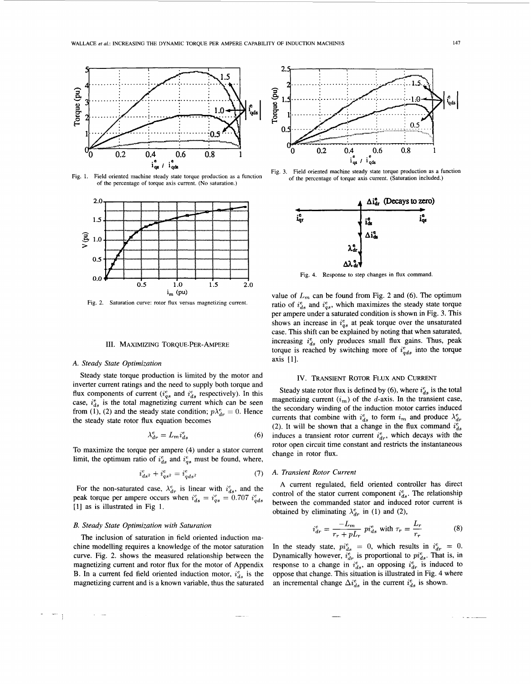

Fig. 1. Field oriented machine steady state torque production as a function of the percentage of torque axis current. (No saturation.)



Fig. 2. Saturation curve: rotor flux versus magnetizing current.

# III. MAXIMIZING TORQUE-PER-AMPERE

# A. Steady State Optimization

Steady state torque production is limited by the motor and inverter current ratings and the need to supply both torque and flux components of current ( $i_{as}^e$  and  $i_{ds}^e$  respectively). In this case,  $i_{ds}^e$  is the total magnetizing current which can be seen from (1), (2) and the steady state condition;  $p\lambda_{dr}^e = 0$ . Hence the steady state rotor flux equation becomes

$$
\lambda_{dr}^e = L_m i_{ds}^e \tag{6}
$$

To maximize the torque per ampere (4) under a stator current limit, the optimum ratio of  $i_{ds}^e$  and  $i_{qs}^e$  must be found, where,

$$
i_{ds^2}^e + i_{gs^2}^e = i_{ads^2}^e \tag{7}
$$

For the non-saturated case,  $\lambda_{dr}^e$  is linear with  $i_{ds}^e$ , and the peak torque per ampere occurs when  $i_{ds}^e = i_{qs}^e = 0.707 i_{qds}^e$ [1] as is illustrated in Fig 1.

## B. Steady State Optimization with Saturation

The inclusion of saturation in field oriented induction machine modelling requires a knowledge of the motor saturation curve. Fig. 2. shows the measured relationship between the magnetizing current and rotor flux for the motor of Appendix B. In a current fed field oriented induction motor,  $i_{ds}^e$  is the magnetizing current and is a known variable, thus the saturated



Field oriented machine steady state torque production as a function Fig. 3. of the percentage of torque axis current. (Saturation included.)



Fig. 4. Response to step changes in flux command.

value of  $L_m$  can be found from Fig. 2 and (6). The optimum ratio of  $i_{ds}^e$  and  $i_{gs}^e$ , which maximizes the steady state torque per ampere under a saturated condition is shown in Fig. 3. This shows an increase in  $i_{qs}^e$  at peak torque over the unsaturated case. This shift can be explained by noting that when saturated, increasing  $i_{ds}^e$  only produces small flux gains. Thus, peak torque is reached by switching more of  $i_{ads}^e$  into the torque axis [1].

## IV. TRANSIENT ROTOR FLUX AND CURRENT

Steady state rotor flux is defined by (6), where  $i_{ds}^e$  is the total magnetizing current  $(i_m)$  of the d-axis. In the transient case, the secondary winding of the induction motor carries induced currents that combine with  $i_{ds}^e$  to form  $i_m$  and produce  $\lambda_{dr}^e$ (2). It will be shown that a change in the flux command  $i_{ds}^e$ induces a transient rotor current  $i^e_{dr}$ , which decays with the rotor open circuit time constant and restricts the instantaneous change in rotor flux.

#### A. Transient Rotor Current

A current regulated, field oriented controller has direct control of the stator current component  $i_{ds}^e$ . The relationship between the commanded stator and induced rotor current is obtained by eliminating  $\lambda_{dr}^e$  in (1) and (2),

$$
i_{dr}^{e} = \frac{-L_m}{r_r + pL_r} \pi_{ds}^{e} \text{ with } \tau_r = \frac{L_r}{r_r}
$$
 (8)

In the steady state,  $pi_{ds}^e = 0$ , which results in  $i_{dr}^e = 0$ .<br>Dynamically however,  $i_{dr}^e$  is proportional to  $pi_{ds}^e$ . That is, in response to a change in  $i_{ds}^e$ , an opposing  $i_{dr}^e$  is induced to oppose that change. This situation is illustrated in Fig. 4 where an incremental change  $\Delta i_{ds}^e$  in the current  $i_{ds}^e$  is shown.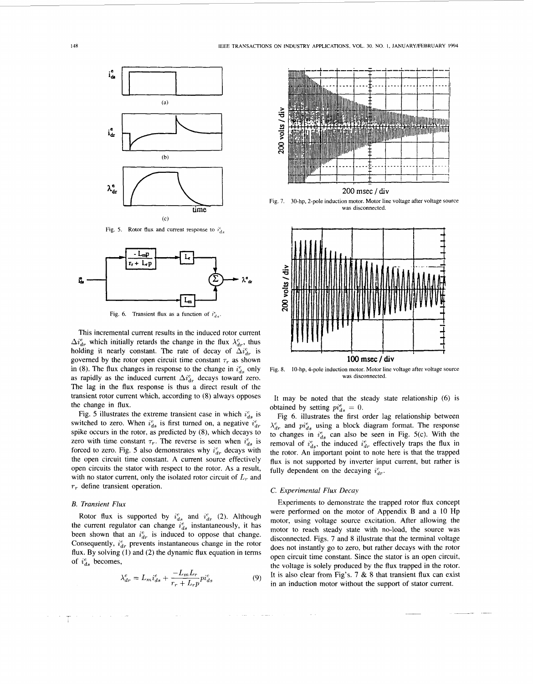

Fig. 5. Rotor flux and current response to  $i_{ds}^e$ 



Fig. 6. Transient flux as a function of  $i_{ds}^e$ 

This incremental current results in the induced rotor current  $\Delta i_{dr}^e$  which initially retards the change in the flux  $\lambda_{dr}^e$ , thus holding it nearly constant. The rate of decay of  $\Delta i_{dr}^e$  is governed by the rotor open circuit time constant  $\tau_r$  as shown in (8). The flux changes in response to the change in  $i_{ds}^e$  only as rapidly as the induced current  $\Delta i_{dr}^e$  decays toward zero. The lag in the flux response is thus a direct result of the transient rotor current which, according to (8) always opposes the change in flux.

Fig. 5 illustrates the extreme transient case in which  $i_{ds}^e$  is switched to zero. When  $i_{ds}^e$  is first turned on, a negative  $i_{dr}^e$ spike occurs in the rotor, as predicted by (8), which decays to zero with time constant  $\tau_r$ . The reverse is seen when  $i_{ds}^e$  is forced to zero. Fig. 5 also demonstrates why  $i_{dr}^e$  decays with the open circuit time constant. A current source effectively open circuits the stator with respect to the rotor. As a result, with no stator current, only the isolated rotor circuit of  $L_r$  and *T,* define transient operation.

## *B. Transient Flux*

不幸的

Rotor flux is supported by  $i_{ds}^e$  and  $i_{dr}^e$  (2). Although the current regulator can change  $i_{ds}^{e}$  instantaneously, it has been shown that an  $i_{dr}^e$  is induced to oppose that change. Consequently,  $i_{dr}^e$  prevents instantaneous change in the rotor flux. By solving (1) and *(2)* the dynamic flux equation in terms of  $i_{ds}^e$  becomes,

$$
\lambda_{dr}^e = L_m i_{ds}^e + \frac{-L_m L_r}{r_r + L_r p} p_{ds}^e \tag{9}
$$



**200** msec / **div** 

Fig. 7. 30-hp, 2-pole induction motor. Motor line voltage after voltage source was disconnected.



Fig. 8. IO-hp, 4-pole induction motor. Motor line voltage after voltage source **was** disconnected.

It may be noted that the steady state relationship **(6)** is obtained by setting  $pi_{ds}^e = 0$ .

Fig **6.** illustrates the first order lag relationship between  $\lambda_{dr}^e$  and  $pi_{ds}^e$  using a block diagram format. The response to changes in  $i_{ds}^e$  can also be seen in Fig. 5(c). With the removal of  $i_{ds}^e$ , the induced  $i_{dr}^e$  effectively traps the flux in the rotor. An important point to note here is that the trapped flux is not supported by inverter input current, but rather is fully dependent on the decaying  $i_{dr}^e$ .

#### *C. Experimental Flux Decay*

Experiments to demonstrate the trapped rotor flux concept were performed on the motor of Appendix B and a 10 Hp motor, using voltage source excitation. After allowing the motor to reach steady state with no-load, the source was disconnected. Figs. 7 and 8 illustrate that the terminal voltage does not instantly go to zero, but rather decays with the rotor open circuit time constant. Since the stator is an open circuit, the voltage is solely produced by the flux trapped in the rotor. It is also clear from Fig's,  $7 & 8 & 8$  that transient flux can exist in an induction motor without the support of stator current.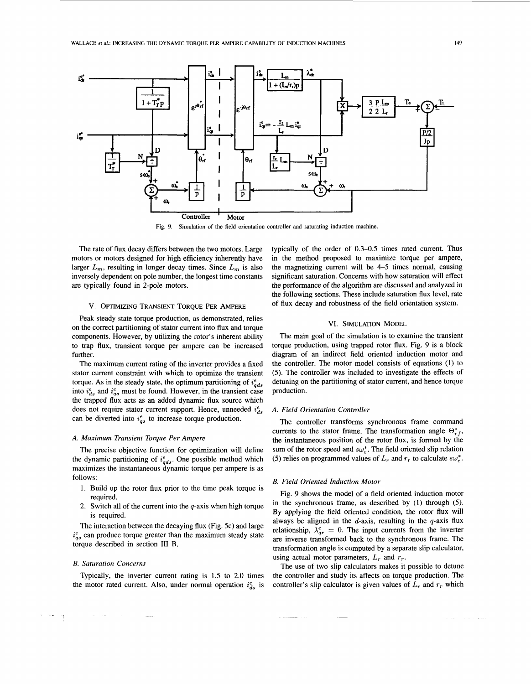<span id="page-3-0"></span>

**Fig. 9. Simulation of the field orientation controller and saturating induction machine.** 

The rate of flux decay differs between the two motors. Large motors or motors designed for high efficiency inherently have larger  $L_m$ , resulting in longer decay times. Since  $L_m$  is also inversely dependent on pole number, the longest time constants are typically found in 2-pole motors.

#### v. OPTUlIZING **TRANSIENT** TORQUE **PER** AMPERE

Peak steady state torque production, as demonstrated, relies on the correct partitioning of stator current into flux and torque components. However, by utilizing the rotor's inherent ability to trap flux, transient torque per ampere can be increased further.

The maximum current rating of the inverter provides a fixed stator current constraint with which to optimize the transient torque. As in the steady state, the optimum partitioning of  $i_{ads}^e$ into  $i_{ds}^e$  and  $i_{qs}^e$  must be found. However, in the transient case the trapped flux acts as an added dynamic flux source which does not require stator current support. Hence, unneeded  $i_{ds}^{e}$ can be diverted into  $i_{as}^e$  to increase torque production.

# *A. Maximum Transient Torque Per Ampere*

The precise objective function for optimization will define the dynamic partitioning of  $i_{ads}^e$ . One possible method which maximizes the instantaneous dynamic torque per ampere is as follows:

- 1. Build up the rotor flux prior to the time peak torque is required.
- 2. Switch all of the current into the  $q$ -axis when high torque is required.

The interaction between the decaying flux (Fig. 5c) and large  $i_{as}^e$  can produce torque greater than the maximum steady state torque described in section **I11** B.

## *B. Saturation Concerns*

Typically, the inverter current rating is 1.5 to 2.0 times the motor rated current. Also, under normal operation  $i_{ds}^e$  is typically of the order of *0.3-0.5* times rated current. Thus in the method proposed to maximize torque per ampere, the magnetizing current will be 4-5 times normal, causing significant saturation. Concerns with how saturation will effect the performance of the algorithm are discussed and analyzed in the following sections. These include saturation flux level, rate of flux decay and robustness of the field orientation system.

# VI. **SIMULATION** MODEL

The main goal of the simulation is to examine the transient torque production, using trapped rotor flux. Fig. 9 is a block diagram of an indirect field oriented induction motor and the controller. The motor model consists of equations (1) to (5). The controller was included to investigate the effects of detuning on the partitioning of stator current, and hence torque production.

# *A. Field Orientation Controller*

The controller transforms synchronous frame command currents to the stator frame. The transformation angle  $\Theta_{rf}^*$ , the instantaneous position of the rotor flux, is formed by the sum of the rotor speed and  $s\omega_e^*$ . The field oriented slip relation (5) relies on programmed values of  $L_r$  and  $r_r$  to calculate  $s\omega_e^*$ .

#### *B. Field Oriented Induction Motor*

Fig. 9 shows the model of a field oriented induction motor in the synchronous frame, as described by (1) through (5). By applying the field oriented condition, the rotor flux will always be aligned in the  $d$ -axis, resulting in the  $q$ -axis flux relationship,  $\lambda_{gr}^e = 0$ . The input currents from the inverter are inverse transformed back to the synchronous frame. The transformation angle is computed by a separate slip calculator, using actual motor parameters,  $L_r$  and  $r_r$ .

The use of two slip calculators makes it possible to detune the controller and study its affects on torque production. The controller's slip calculator is given values of  $L_r$  and  $r_r$  which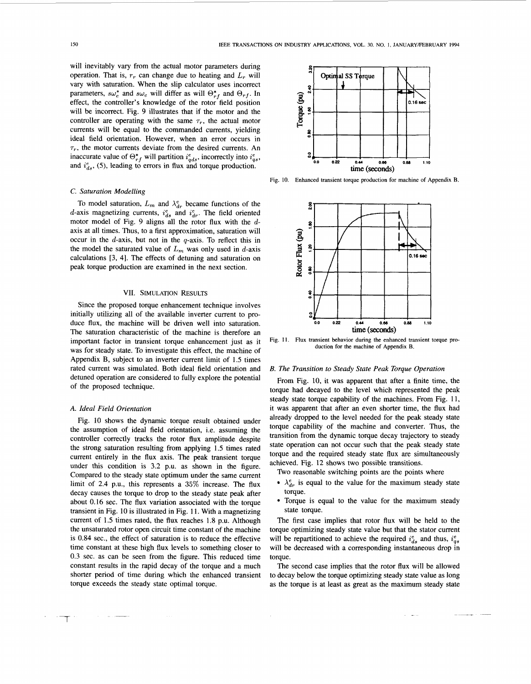<span id="page-4-0"></span>will inevitably vary from the actual motor parameters during operation. That is,  $r_r$  can change due to heating and  $L_r$  will vary with saturation. When the slip calculator uses incorrect parameters,  $s\omega_r^*$  and  $s\omega_e$  will differ as will  $\Theta_{rf}^*$  and  $\Theta_{rf}$ . In effect, the controller's knowledge of the rotor field position will be incorrect. [Fig. 9](#page-3-0) illustrates that if the motor and the controller are operating with the same  $\tau_r$ , the actual motor currents will be equal to the commanded currents, yielding ideal field orientation. However, when an error occurs in  $\tau_r$ , the motor currents deviate from the desired currents. An inaccurate value of  $\Theta_{rf}^*$  will partition  $i_{qds}^e$ , incorrectly into  $i_{qs}^e$ , and  $i_{ds}^e$ , (5), leading to errors in flux and torque production.

# *C. Saturation Modelling*

To model saturation,  $L_m$  and  $\lambda_{dr}^e$  became functions of the d-axis magnetizing currents,  $i_{ds}^e$  and  $i_{dr}^e$ . The field oriented motor model of [Fig. 9](#page-3-0) aligns all the rotor flux with the *d*axis at all times. Thus, to a first approximation, saturation will occur in the  $d$ -axis, but not in the  $q$ -axis. To reflect this in the model the saturated value of  $L_m$  was only used in d-axis calculations [3, 41. The effects of detuning and saturation on peak torque production are examined in the next section.

# **VII. SIMULATION RESULTS**

Since the proposed torque enhancement technique involves initially utilizing all of the available inverter current to produce flux, the machine will be driven well into saturation. The saturation characteristic of the machine is therefore an important factor in transient torque enhancement just as it was for steady state. To investigate this effect, the machine of Appendix B, subject to an inverter current limit of 1.5 times rated current was simulated. Both ideal field orientation and detuned operation are considered to fully explore the potential of the proposed technique.

# *A. Ideal Field Orientation*

Fig. 10 shows the dynamic torque result obtained under the assumption of ideal field orientation, i.e. assuming the controller correctly tracks the rotor flux amplitude despite the strong saturation resulting from applying 1.5 times rated current entirely in the flux axis. The peak transient torque under this condition is 3.2 p.u. as shown in the figure. Compared to the steady state optimum under the same current limit of 2.4 P.u., this represents a 35% increase. The flux decay causes the torque to drop to the steady state peak after about 0.16 sec. The flux variation associated with the torque transient in Fig. 10 is illustrated in Fig. 11. With a magnetizing current of 1.5 times rated, the flux reaches 1.8 p.u. Although the unsaturated rotor open circuit time constant of the machine is 0.84 sec., the effect of saturation is to reduce the effective time constant at these high flux levels to something closer to 0.3 sec. as can be seen from the figure. This reduced time constant results in the rapid decay of the torque and a much shorter period of time during which the enhanced transient torque exceeds the steady state optimal torque.



**Fig. 10. Enhanced transient torque production for machine of Appendix B.** 



**Fig. 11. Flux transient behavior during the enhanced transient torque production for the machine of Appendix B.** 

#### *B. The Transition to Steady State Peak Torque Operation*

From Fig. 10, it was apparent that after a finite time, the torque had decayed to the level which represented the peak steady state torque capability of the machines. From Fig. 11, it was apparent that after an even shorter time, the flux had already dropped to the level needed for the peak steady state torque capability of the machine and converter. Thus, the transition from the dynamic torque decay trajectory to steady state operation can not occur such that the peak steady state torque and the required steady state flux are simultaneously achieved. [Fig. 12](#page-5-0) shows two possible transitions.

Two reasonable switching points are the points where

- $\bullet$   $\lambda_{dr}^{e}$  is equal to the value for the maximum steady state torque.
- Torque is equal to the value for the maximum steady state torque.

The first case implies that rotor flux will be held to the torque optimizing steady state value but that the stator current will be repartitioned to achieve the required  $i_{ds}^e$  and thus,  $i_{as}^e$ will be decreased with a corresponding instantaneous drop in torque.

The second case implies that the rotor flux will be allowed to decay below the torque optimizing steady state value as long as the torque is at least as great as the maximum steady state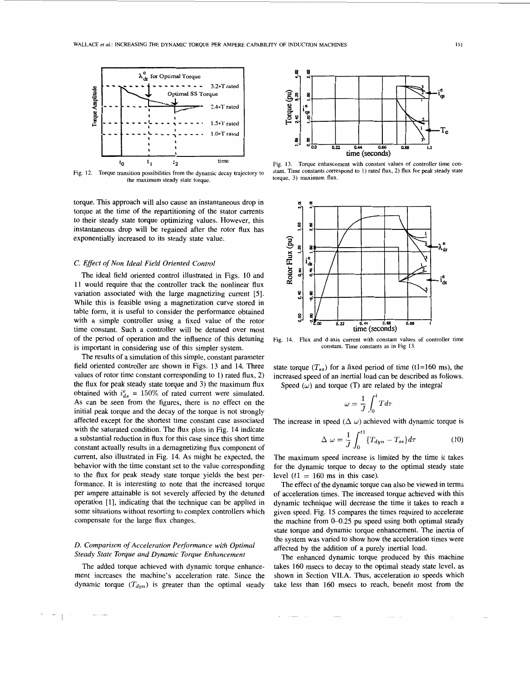<span id="page-5-0"></span>

**Fig. 12. Torque transition possibilities from the dynamic decay trajectory to the maximum steady state torque.** 

torque. This approach will also cause an instantaneous drop in torque at the time of the repartitioning of the stator currents to their steady state torque optimizing values. However, this instantaneous drop will be regained after the rotor flux has exponentially increased to its steady state value.

# *C. Effect of Non Ideal Field Oriented Control*

The ideal field oriented control illustrated in [Figs. 10](#page-4-0) and 11 would require that the controller track the nonlinear flux variation associated with the large magnetizing current *[5].*  While this is feasible using a magnetization curve stored in table form, it is useful to consider the performance obtained with a simple controller using a fixed value of the rotor time constant. Such a controller will be detuned over most of the period of operation and the influence of this detuning is important in considering use of this simpler system.

The results of a simulation of this simple, constant parameter field oriented controller are shown in Figs. 13 and 14. Three values of rotor time constant corresponding to 1) rated flux, *2)*  the flux for peak steady state torque and 3) the maximum flux obtained with  $i_{ds}^e = 150\%$  of rated current were simulated. **As** can be seen from the figures, there is no effect on the initial peak torque and the decay of the torque is not strongly affected except for the shortest time constant case associated with the saturated condition. The flux plots in Fig. 14 indicate a substantial reduction in flux for this case since this short time constant actually results in a demagnetizing flux component of current, also illustrated in Fig. 14. **As** might be expected, the behavior with the time constant set to the value corresponding to the flux for peak steady state torque yields the best performance. It is interesting to note that the increased torque per ampere attainable is not severely affected by the detuned operation [l], indicating that the technique can be applied in some situations without resorting to complex controllers which compensate for the large flux changes.

# *D. Comparison of Acceleration Performance with Optimal Steady State Torque and Dynamic Torque Enhancement*

The added torque achieved with dynamic torque enhancement increases the machine's acceleration rate. Since the dynamic torque  $(T_{dyn})$  is greater than the optimal steady



**Fig.** 13. **Torque enhancement with constant values of controller time constant. Time constants correspond to** 1) **rated flux, 2) flux for peak steady state torque,** 3) **maximum flux.** 



**Fig.** 14. **Flux and d-axis current with constant values of controller time constant. Time constants as in Fig** 13.

state torque  $(T_{ss})$  for a fixed period of time (t1=160 ms), the increased speed of an inertial load can be described as follows. Speed (*w*) and torque (T) are related by the integral<br>  $\omega = \frac{1}{J} \int_0^t T d\tau$ 

$$
\omega = \frac{1}{J} \int_0^t T d\tau
$$

The increase in speed 
$$
(\Delta \omega)
$$
 achieved with dynamic torque is  
\n
$$
\Delta \omega = \frac{1}{J} \int_0^{t_1} \{T_{dyn} - T_{ss}\} d\tau
$$
\n(10)

The maximum speed increase is limited by the time it takes for the dynamic torque to decay to the optimal steady state level  $(t1 = 160$  ms in this case).

The effect of the dynamic torque can also be viewed in terms of acceleration times. The increased torque achieved with this dynamic technique will decrease the time it takes to reach a given speed. [Fig. 15](#page-6-0) compares the times required to accelerate the machine from 0-0.25 pu speed using both optimal steady state torque and dynamic torque enhancement. The inertia of the system was varied to show how the acceleration times were affected by the addition of a purely inertial load.

The enhanced dynamic torque produced by this machine takes 160 msecs to decay to the optimal steady state level, as shown in Section **VILA.** Thus, acceleration to speeds which take less than 160 msecs to reach, benefit most from the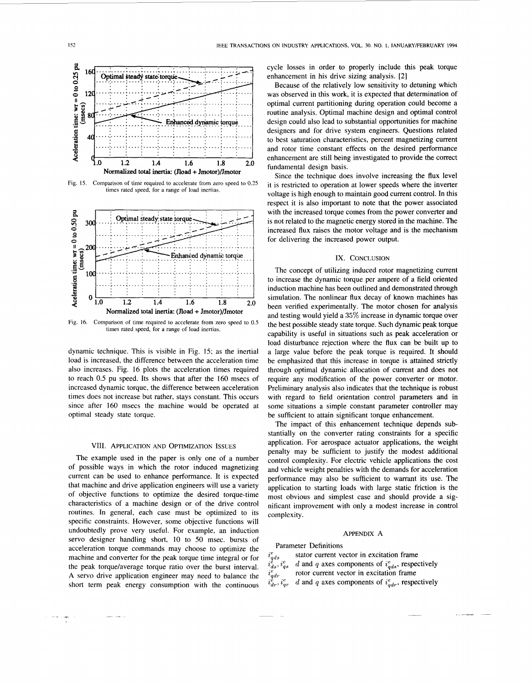<span id="page-6-0"></span>

Fig. 15. Comparison of time required to accelerate from zero speed to 0.25 times rated speed, for a range of load inertias.



Fig. 16. Comparison of time required to accelerate from zero speed to 0.5 times rated speed, for a range of load inertias

dynamic technique. This is visible in Fig. 15; as the inertial load is increased, the difference between the acceleration time also increases. Fig. 16 plots the acceleration times required to reach 0.5 pu speed. Its shows that after the 160 msecs of increased dynamic torque, the difference between acceleration times does not increase but rather, stays constant. This occurs since after 160 msecs the machine would be operated at optimal steady state torque.

# VIII. APPLICATION AND OPTIMIZATION ISSUES

The example used in the paper is only one of a number of possible ways in which the rotor induced magnetizing current can be used to enhance performance. It is expected that machine and drive application engineers will use a variety of objective functions to optimize the desired torque-time characteristics of a machine design or of the drive control routines. In general, each case must be optimized to its specific constraints. However, some objective functions will undoubtedly prove very useful. For example, an induction servo designer handling short, 10 to 50 msec. bursts of acceleration torque commands may choose to optimize the machine and converter for the peak torque time integral or for the peak torque/average torque ratio over the burst interval. A servo drive application engineer may need to balance the short term peak energy consumption with the continuous cycle losses in order to properly include this peak torque enhancement in his drive sizing analysis. [2]

Because of the relatively low sensitivity to detuning which was observed in this work, it is expected that determination of optimal current partitioning during operation could become a routine analysis. Optimal machine design and optimal control design could also lead to substantial opportunities for machine designers and for drive system engineers. Ouestions related to best saturation characteristics, percent magnetizing current and rotor time constant effects on the desired performance enhancement are still being investigated to provide the correct fundamental design basis.

Since the technique does involve increasing the flux level it is restricted to operation at lower speeds where the inverter voltage is high enough to maintain good current control. In this respect it is also important to note that the power associated with the increased torque comes from the power converter and is not related to the magnetic energy stored in the machine. The increased flux raises the motor voltage and is the mechanism for delivering the increased power output.

# IX. CONCLUSION

The concept of utilizing induced rotor magnetizing current to increase the dynamic torque per ampere of a field oriented induction machine has been outlined and demonstrated through simulation. The nonlinear flux decay of known machines has been verified experimentally. The motor chosen for analysis and testing would yield a 35% increase in dynamic torque over the best possible steady state torque. Such dynamic peak torque capability is useful in situations such as peak acceleration or load disturbance rejection where the flux can be built up to a large value before the peak torque is required. It should be emphasized that this increase in torque is attained strictly through optimal dynamic allocation of current and does not require any modification of the power converter or motor. Preliminary analysis also indicates that the technique is robust with regard to field orientation control parameters and in some situations a simple constant parameter controller may be sufficient to attain significant torque enhancement.

The impact of this enhancement technique depends substantially on the converter rating constraints for a specific application. For aerospace actuator applications, the weight penalty may be sufficient to justify the modest additional control complexity. For electric vehicle applications the cost and vehicle weight penalties with the demands for acceleration performance may also be sufficient to warrant its use. The application to starting loads with large static friction is the most obvious and simplest case and should provide a significant improvement with only a modest increase in control complexity.

#### APPENDIX A

Parameter Definitions

stator current vector in excitation frame  $i_{qds}$ d and q axes components of  $i_{ads}^e$ , respectively  $i_{ds}^c, i_{qs}^c$ rotor current vector in excitation frame  $i_{qdr}^e$ d and q axes components of  $i_{qdr}^e$ , respectively  $i_{dr}^e$